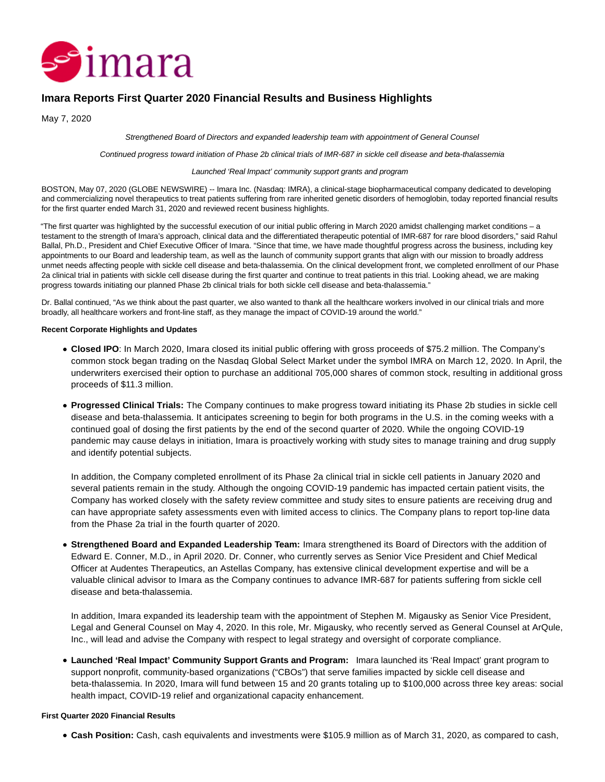

# **Imara Reports First Quarter 2020 Financial Results and Business Highlights**

May 7, 2020

Strengthened Board of Directors and expanded leadership team with appointment of General Counsel

Continued progress toward initiation of Phase 2b clinical trials of IMR-687 in sickle cell disease and beta-thalassemia

#### Launched 'Real Impact' community support grants and program

BOSTON, May 07, 2020 (GLOBE NEWSWIRE) -- Imara Inc. (Nasdaq: IMRA), a clinical-stage biopharmaceutical company dedicated to developing and commercializing novel therapeutics to treat patients suffering from rare inherited genetic disorders of hemoglobin, today reported financial results for the first quarter ended March 31, 2020 and reviewed recent business highlights.

"The first quarter was highlighted by the successful execution of our initial public offering in March 2020 amidst challenging market conditions – a testament to the strength of Imara's approach, clinical data and the differentiated therapeutic potential of IMR-687 for rare blood disorders," said Rahul Ballal, Ph.D., President and Chief Executive Officer of Imara. "Since that time, we have made thoughtful progress across the business, including key appointments to our Board and leadership team, as well as the launch of community support grants that align with our mission to broadly address unmet needs affecting people with sickle cell disease and beta-thalassemia. On the clinical development front, we completed enrollment of our Phase 2a clinical trial in patients with sickle cell disease during the first quarter and continue to treat patients in this trial. Looking ahead, we are making progress towards initiating our planned Phase 2b clinical trials for both sickle cell disease and beta-thalassemia."

Dr. Ballal continued, "As we think about the past quarter, we also wanted to thank all the healthcare workers involved in our clinical trials and more broadly, all healthcare workers and front-line staff, as they manage the impact of COVID-19 around the world."

### **Recent Corporate Highlights and Updates**

- **Closed IPO**: In March 2020, Imara closed its initial public offering with gross proceeds of \$75.2 million. The Company's common stock began trading on the Nasdaq Global Select Market under the symbol IMRA on March 12, 2020. In April, the underwriters exercised their option to purchase an additional 705,000 shares of common stock, resulting in additional gross proceeds of \$11.3 million.
- **Progressed Clinical Trials:** The Company continues to make progress toward initiating its Phase 2b studies in sickle cell disease and beta-thalassemia. It anticipates screening to begin for both programs in the U.S. in the coming weeks with a continued goal of dosing the first patients by the end of the second quarter of 2020. While the ongoing COVID-19 pandemic may cause delays in initiation, Imara is proactively working with study sites to manage training and drug supply and identify potential subjects.

In addition, the Company completed enrollment of its Phase 2a clinical trial in sickle cell patients in January 2020 and several patients remain in the study. Although the ongoing COVID-19 pandemic has impacted certain patient visits, the Company has worked closely with the safety review committee and study sites to ensure patients are receiving drug and can have appropriate safety assessments even with limited access to clinics. The Company plans to report top-line data from the Phase 2a trial in the fourth quarter of 2020.

**Strengthened Board and Expanded Leadership Team:** Imara strengthened its Board of Directors with the addition of Edward E. Conner, M.D., in April 2020. Dr. Conner, who currently serves as Senior Vice President and Chief Medical Officer at Audentes Therapeutics, an Astellas Company, has extensive clinical development expertise and will be a valuable clinical advisor to Imara as the Company continues to advance IMR-687 for patients suffering from sickle cell disease and beta-thalassemia.

In addition, Imara expanded its leadership team with the appointment of Stephen M. Migausky as Senior Vice President, Legal and General Counsel on May 4, 2020. In this role, Mr. Migausky, who recently served as General Counsel at ArQule, Inc., will lead and advise the Company with respect to legal strategy and oversight of corporate compliance.

**Launched 'Real Impact' Community Support Grants and Program:** Imara launched its 'Real Impact' grant program to support nonprofit, community-based organizations ("CBOs") that serve families impacted by sickle cell disease and beta-thalassemia. In 2020, Imara will fund between 15 and 20 grants totaling up to \$100,000 across three key areas: social health impact, COVID-19 relief and organizational capacity enhancement.

### **First Quarter 2020 Financial Results**

**Cash Position:** Cash, cash equivalents and investments were \$105.9 million as of March 31, 2020, as compared to cash,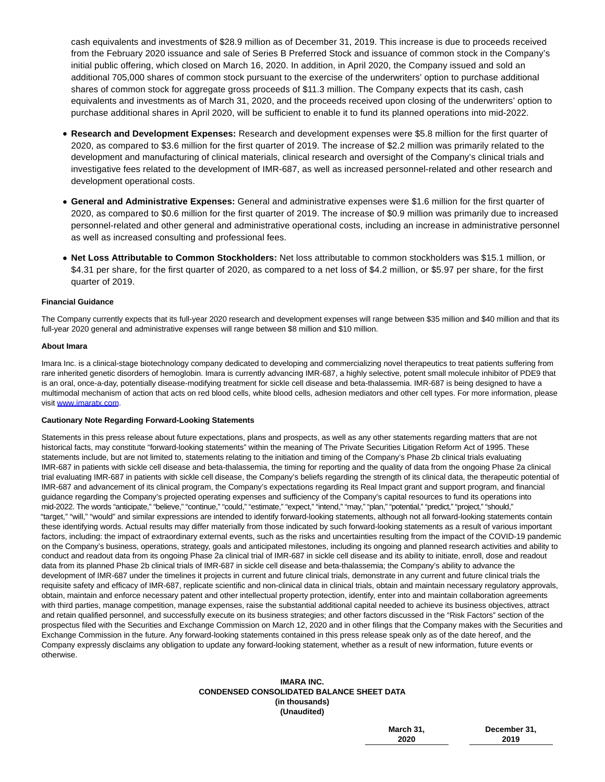cash equivalents and investments of \$28.9 million as of December 31, 2019. This increase is due to proceeds received from the February 2020 issuance and sale of Series B Preferred Stock and issuance of common stock in the Company's initial public offering, which closed on March 16, 2020. In addition, in April 2020, the Company issued and sold an additional 705,000 shares of common stock pursuant to the exercise of the underwriters' option to purchase additional shares of common stock for aggregate gross proceeds of \$11.3 million. The Company expects that its cash, cash equivalents and investments as of March 31, 2020, and the proceeds received upon closing of the underwriters' option to purchase additional shares in April 2020, will be sufficient to enable it to fund its planned operations into mid-2022.

- **Research and Development Expenses:** Research and development expenses were \$5.8 million for the first quarter of 2020, as compared to \$3.6 million for the first quarter of 2019. The increase of \$2.2 million was primarily related to the development and manufacturing of clinical materials, clinical research and oversight of the Company's clinical trials and investigative fees related to the development of IMR-687, as well as increased personnel-related and other research and development operational costs.
- **General and Administrative Expenses:** General and administrative expenses were \$1.6 million for the first quarter of 2020, as compared to \$0.6 million for the first quarter of 2019. The increase of \$0.9 million was primarily due to increased personnel-related and other general and administrative operational costs, including an increase in administrative personnel as well as increased consulting and professional fees.
- **Net Loss Attributable to Common Stockholders:** Net loss attributable to common stockholders was \$15.1 million, or \$4.31 per share, for the first quarter of 2020, as compared to a net loss of \$4.2 million, or \$5.97 per share, for the first quarter of 2019.

### **Financial Guidance**

The Company currently expects that its full-year 2020 research and development expenses will range between \$35 million and \$40 million and that its full-year 2020 general and administrative expenses will range between \$8 million and \$10 million.

### **About Imara**

Imara Inc. is a clinical-stage biotechnology company dedicated to developing and commercializing novel therapeutics to treat patients suffering from rare inherited genetic disorders of hemoglobin. Imara is currently advancing IMR-687, a highly selective, potent small molecule inhibitor of PDE9 that is an oral, once-a-day, potentially disease-modifying treatment for sickle cell disease and beta-thalassemia. IMR-687 is being designed to have a multimodal mechanism of action that acts on red blood cells, white blood cells, adhesion mediators and other cell types. For more information, please visit [www.imaratx.com.](https://www.globenewswire.com/Tracker?data=5IPvbg0j-xpZNGTsCpZux2auw1q1AFYBl38ZRiVqwLByRO6KyT0wRbXpV_znfaPPqNB_PZ_XOSxF0h_DqycDzA==)

### **Cautionary Note Regarding Forward-Looking Statements**

Statements in this press release about future expectations, plans and prospects, as well as any other statements regarding matters that are not historical facts, may constitute "forward-looking statements" within the meaning of The Private Securities Litigation Reform Act of 1995. These statements include, but are not limited to, statements relating to the initiation and timing of the Company's Phase 2b clinical trials evaluating IMR-687 in patients with sickle cell disease and beta-thalassemia, the timing for reporting and the quality of data from the ongoing Phase 2a clinical trial evaluating IMR-687 in patients with sickle cell disease, the Company's beliefs regarding the strength of its clinical data, the therapeutic potential of IMR-687 and advancement of its clinical program, the Company's expectations regarding its Real Impact grant and support program, and financial guidance regarding the Company's projected operating expenses and sufficiency of the Company's capital resources to fund its operations into mid-2022. The words "anticipate," "believe," "continue," "could," "estimate," "expect," "intend," "may," "plan," "potential," "predict," "project," "should," "target," "will," "would" and similar expressions are intended to identify forward-looking statements, although not all forward-looking statements contain these identifying words. Actual results may differ materially from those indicated by such forward-looking statements as a result of various important factors, including: the impact of extraordinary external events, such as the risks and uncertainties resulting from the impact of the COVID-19 pandemic on the Company's business, operations, strategy, goals and anticipated milestones, including its ongoing and planned research activities and ability to conduct and readout data from its ongoing Phase 2a clinical trial of IMR-687 in sickle cell disease and its ability to initiate, enroll, dose and readout data from its planned Phase 2b clinical trials of IMR-687 in sickle cell disease and beta-thalassemia; the Company's ability to advance the development of IMR-687 under the timelines it projects in current and future clinical trials, demonstrate in any current and future clinical trials the requisite safety and efficacy of IMR-687, replicate scientific and non-clinical data in clinical trials, obtain and maintain necessary regulatory approvals, obtain, maintain and enforce necessary patent and other intellectual property protection, identify, enter into and maintain collaboration agreements with third parties, manage competition, manage expenses, raise the substantial additional capital needed to achieve its business objectives, attract and retain qualified personnel, and successfully execute on its business strategies; and other factors discussed in the "Risk Factors" section of the prospectus filed with the Securities and Exchange Commission on March 12, 2020 and in other filings that the Company makes with the Securities and Exchange Commission in the future. Any forward-looking statements contained in this press release speak only as of the date hereof, and the Company expressly disclaims any obligation to update any forward-looking statement, whether as a result of new information, future events or otherwise.

### **IMARA INC. CONDENSED CONSOLIDATED BALANCE SHEET DATA (in thousands) (Unaudited)**

**March 31, 2020**

**December 31, 2019**